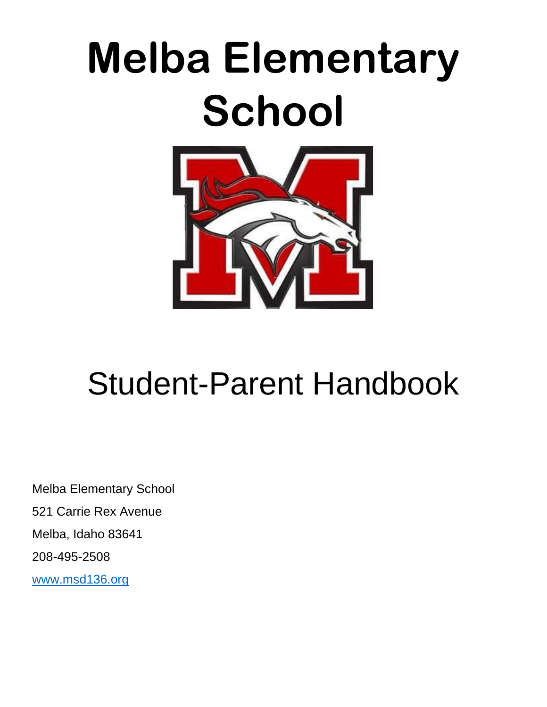# **Melba Elementary School**



# Student-Parent Handbook

Melba Elementary School 521 Carrie Rex Avenue Melba, Idaho 83641 208-495-2508 [www.msd136.org](http://www.msd136.org/)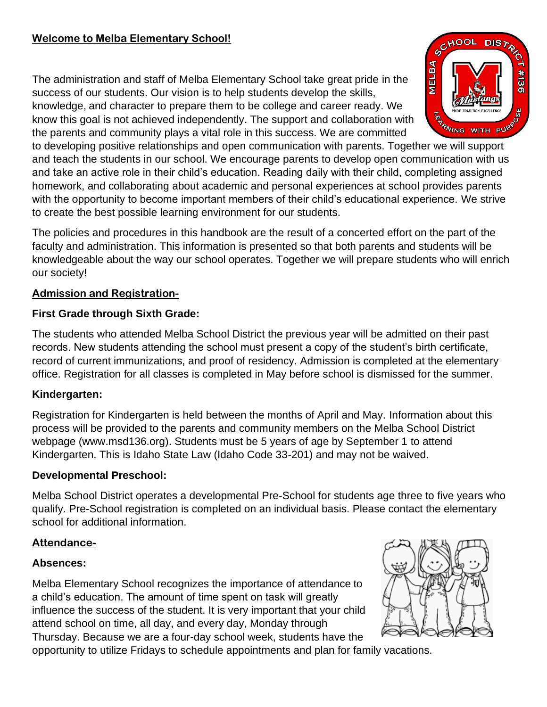The administration and staff of Melba Elementary School take great pride in the success of our students. Our vision is to help students develop the skills, knowledge, and character to prepare them to be college and career ready. We know this goal is not achieved independently. The support and collaboration with the parents and community plays a vital role in this success. We are committed



to developing positive relationships and open communication with parents. Together we will support and teach the students in our school. We encourage parents to develop open communication with us and take an active role in their child's education. Reading daily with their child, completing assigned homework, and collaborating about academic and personal experiences at school provides parents with the opportunity to become important members of their child's educational experience. We strive to create the best possible learning environment for our students.

The policies and procedures in this handbook are the result of a concerted effort on the part of the faculty and administration. This information is presented so that both parents and students will be knowledgeable about the way our school operates. Together we will prepare students who will enrich our society!

# **Admission and Registration-**

# **First Grade through Sixth Grade:**

The students who attended Melba School District the previous year will be admitted on their past records. New students attending the school must present a copy of the student's birth certificate, record of current immunizations, and proof of residency. Admission is completed at the elementary office. Registration for all classes is completed in May before school is dismissed for the summer.

# **Kindergarten:**

Registration for Kindergarten is held between the months of April and May. Information about this process will be provided to the parents and community members on the Melba School District webpage (www.msd136.org). Students must be 5 years of age by September 1 to attend Kindergarten. This is Idaho State Law (Idaho Code 33-201) and may not be waived.

# **Developmental Preschool:**

Melba School District operates a developmental Pre-School for students age three to five years who qualify. Pre-School registration is completed on an individual basis. Please contact the elementary school for additional information.

# **Attendance-**

# **Absences:**

Melba Elementary School recognizes the importance of attendance to a child's education. The amount of time spent on task will greatly influence the success of the student. It is very important that your child attend school on time, all day, and every day, Monday through Thursday. Because we are a four-day school week, students have the opportunity to utilize Fridays to schedule appointments and plan for family vacations.

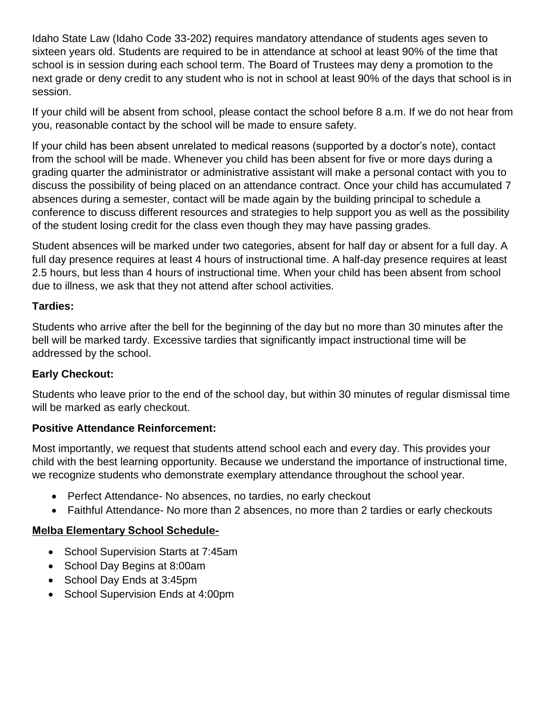Idaho State Law (Idaho Code 33-202) requires mandatory attendance of students ages seven to sixteen years old. Students are required to be in attendance at school at least 90% of the time that school is in session during each school term. The Board of Trustees may deny a promotion to the next grade or deny credit to any student who is not in school at least 90% of the days that school is in session.

If your child will be absent from school, please contact the school before 8 a.m. If we do not hear from you, reasonable contact by the school will be made to ensure safety.

If your child has been absent unrelated to medical reasons (supported by a doctor's note), contact from the school will be made. Whenever you child has been absent for five or more days during a grading quarter the administrator or administrative assistant will make a personal contact with you to discuss the possibility of being placed on an attendance contract. Once your child has accumulated 7 absences during a semester, contact will be made again by the building principal to schedule a conference to discuss different resources and strategies to help support you as well as the possibility of the student losing credit for the class even though they may have passing grades.

Student absences will be marked under two categories, absent for half day or absent for a full day. A full day presence requires at least 4 hours of instructional time. A half-day presence requires at least 2.5 hours, but less than 4 hours of instructional time. When your child has been absent from school due to illness, we ask that they not attend after school activities.

#### **Tardies:**

Students who arrive after the bell for the beginning of the day but no more than 30 minutes after the bell will be marked tardy. Excessive tardies that significantly impact instructional time will be addressed by the school.

# **Early Checkout:**

Students who leave prior to the end of the school day, but within 30 minutes of regular dismissal time will be marked as early checkout.

#### **Positive Attendance Reinforcement:**

Most importantly, we request that students attend school each and every day. This provides your child with the best learning opportunity. Because we understand the importance of instructional time, we recognize students who demonstrate exemplary attendance throughout the school year.

- Perfect Attendance- No absences, no tardies, no early checkout
- Faithful Attendance- No more than 2 absences, no more than 2 tardies or early checkouts

# **Melba Elementary School Schedule-**

- School Supervision Starts at 7:45am
- School Day Begins at 8:00am
- School Day Ends at 3:45pm
- School Supervision Ends at 4:00pm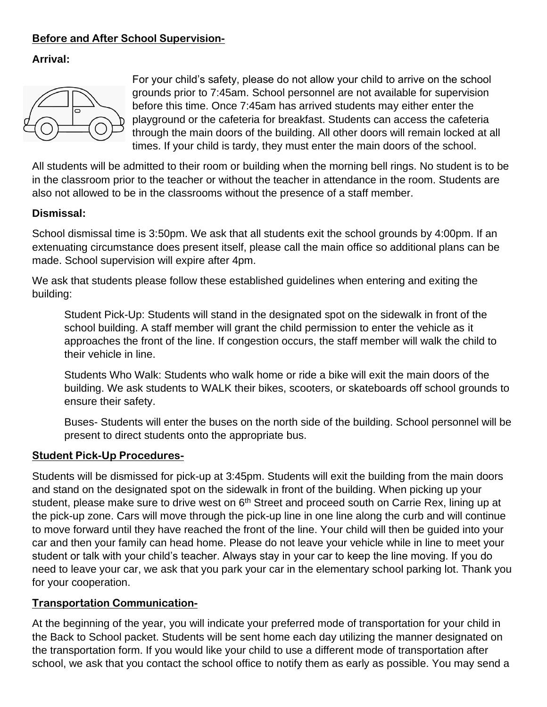# **Before and After School Supervision-**

# **Arrival:**



For your child's safety, please do not allow your child to arrive on the school grounds prior to 7:45am. School personnel are not available for supervision before this time. Once 7:45am has arrived students may either enter the playground or the cafeteria for breakfast. Students can access the cafeteria through the main doors of the building. All other doors will remain locked at all times. If your child is tardy, they must enter the main doors of the school.

All students will be admitted to their room or building when the morning bell rings. No student is to be in the classroom prior to the teacher or without the teacher in attendance in the room. Students are also not allowed to be in the classrooms without the presence of a staff member.

#### **Dismissal:**

School dismissal time is 3:50pm. We ask that all students exit the school grounds by 4:00pm. If an extenuating circumstance does present itself, please call the main office so additional plans can be made. School supervision will expire after 4pm.

We ask that students please follow these established guidelines when entering and exiting the building:

Student Pick-Up: Students will stand in the designated spot on the sidewalk in front of the school building. A staff member will grant the child permission to enter the vehicle as it approaches the front of the line. If congestion occurs, the staff member will walk the child to their vehicle in line.

Students Who Walk: Students who walk home or ride a bike will exit the main doors of the building. We ask students to WALK their bikes, scooters, or skateboards off school grounds to ensure their safety.

Buses- Students will enter the buses on the north side of the building. School personnel will be present to direct students onto the appropriate bus.

#### **Student Pick-Up Procedures-**

Students will be dismissed for pick-up at 3:45pm. Students will exit the building from the main doors and stand on the designated spot on the sidewalk in front of the building. When picking up your student, please make sure to drive west on 6<sup>th</sup> Street and proceed south on Carrie Rex, lining up at the pick-up zone. Cars will move through the pick-up line in one line along the curb and will continue to move forward until they have reached the front of the line. Your child will then be guided into your car and then your family can head home. Please do not leave your vehicle while in line to meet your student or talk with your child's teacher. Always stay in your car to keep the line moving. If you do need to leave your car, we ask that you park your car in the elementary school parking lot. Thank you for your cooperation.

#### **Transportation Communication-**

At the beginning of the year, you will indicate your preferred mode of transportation for your child in the Back to School packet. Students will be sent home each day utilizing the manner designated on the transportation form. If you would like your child to use a different mode of transportation after school, we ask that you contact the school office to notify them as early as possible. You may send a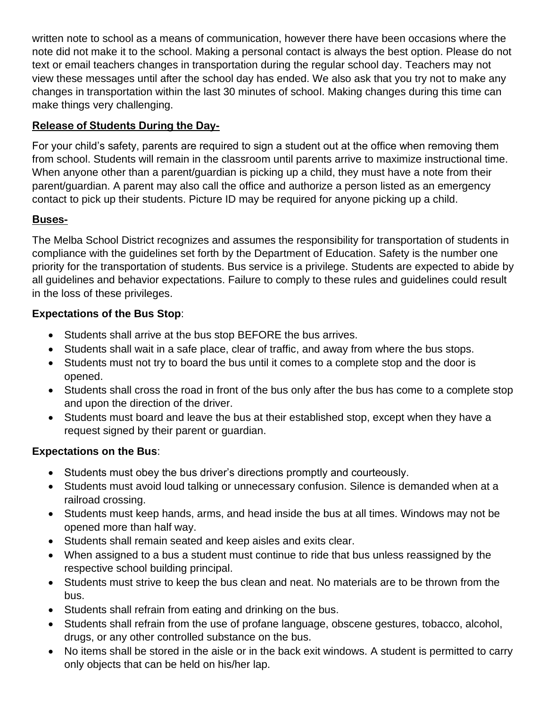written note to school as a means of communication, however there have been occasions where the note did not make it to the school. Making a personal contact is always the best option. Please do not text or email teachers changes in transportation during the regular school day. Teachers may not view these messages until after the school day has ended. We also ask that you try not to make any changes in transportation within the last 30 minutes of school. Making changes during this time can make things very challenging.

# **Release of Students During the Day-**

For your child's safety, parents are required to sign a student out at the office when removing them from school. Students will remain in the classroom until parents arrive to maximize instructional time. When anyone other than a parent/guardian is picking up a child, they must have a note from their parent/guardian. A parent may also call the office and authorize a person listed as an emergency contact to pick up their students. Picture ID may be required for anyone picking up a child.

# **Buses-**

The Melba School District recognizes and assumes the responsibility for transportation of students in compliance with the guidelines set forth by the Department of Education. Safety is the number one priority for the transportation of students. Bus service is a privilege. Students are expected to abide by all guidelines and behavior expectations. Failure to comply to these rules and guidelines could result in the loss of these privileges.

# **Expectations of the Bus Stop**:

- Students shall arrive at the bus stop BEFORE the bus arrives.
- Students shall wait in a safe place, clear of traffic, and away from where the bus stops.
- Students must not try to board the bus until it comes to a complete stop and the door is opened.
- Students shall cross the road in front of the bus only after the bus has come to a complete stop and upon the direction of the driver.
- Students must board and leave the bus at their established stop, except when they have a request signed by their parent or guardian.

# **Expectations on the Bus**:

- Students must obey the bus driver's directions promptly and courteously.
- Students must avoid loud talking or unnecessary confusion. Silence is demanded when at a railroad crossing.
- Students must keep hands, arms, and head inside the bus at all times. Windows may not be opened more than half way.
- Students shall remain seated and keep aisles and exits clear.
- When assigned to a bus a student must continue to ride that bus unless reassigned by the respective school building principal.
- Students must strive to keep the bus clean and neat. No materials are to be thrown from the bus.
- Students shall refrain from eating and drinking on the bus.
- Students shall refrain from the use of profane language, obscene gestures, tobacco, alcohol, drugs, or any other controlled substance on the bus.
- No items shall be stored in the aisle or in the back exit windows. A student is permitted to carry only objects that can be held on his/her lap.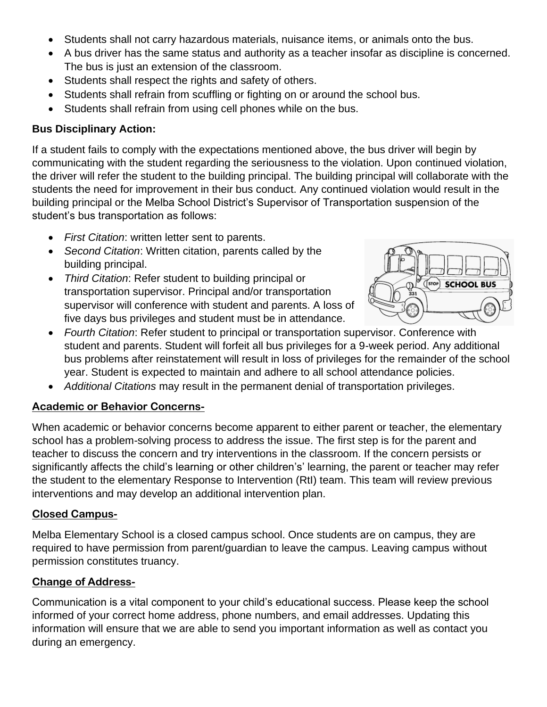- Students shall not carry hazardous materials, nuisance items, or animals onto the bus.
- A bus driver has the same status and authority as a teacher insofar as discipline is concerned. The bus is just an extension of the classroom.
- Students shall respect the rights and safety of others.
- Students shall refrain from scuffling or fighting on or around the school bus.
- Students shall refrain from using cell phones while on the bus.

#### **Bus Disciplinary Action:**

If a student fails to comply with the expectations mentioned above, the bus driver will begin by communicating with the student regarding the seriousness to the violation. Upon continued violation, the driver will refer the student to the building principal. The building principal will collaborate with the students the need for improvement in their bus conduct. Any continued violation would result in the building principal or the Melba School District's Supervisor of Transportation suspension of the student's bus transportation as follows:

- *First Citation*: written letter sent to parents.
- *Second Citation*: Written citation, parents called by the building principal.
- *Third Citation*: Refer student to building principal or transportation supervisor. Principal and/or transportation supervisor will conference with student and parents. A loss of five days bus privileges and student must be in attendance.



- *Fourth Citation*: Refer student to principal or transportation supervisor. Conference with student and parents. Student will forfeit all bus privileges for a 9-week period. Any additional bus problems after reinstatement will result in loss of privileges for the remainder of the school year. Student is expected to maintain and adhere to all school attendance policies.
- *Additional Citations* may result in the permanent denial of transportation privileges.

#### **Academic or Behavior Concerns-**

When academic or behavior concerns become apparent to either parent or teacher, the elementary school has a problem-solving process to address the issue. The first step is for the parent and teacher to discuss the concern and try interventions in the classroom. If the concern persists or significantly affects the child's learning or other children's' learning, the parent or teacher may refer the student to the elementary Response to Intervention (RtI) team. This team will review previous interventions and may develop an additional intervention plan.

#### **Closed Campus-**

Melba Elementary School is a closed campus school. Once students are on campus, they are required to have permission from parent/guardian to leave the campus. Leaving campus without permission constitutes truancy.

#### **Change of Address-**

Communication is a vital component to your child's educational success. Please keep the school informed of your correct home address, phone numbers, and email addresses. Updating this information will ensure that we are able to send you important information as well as contact you during an emergency.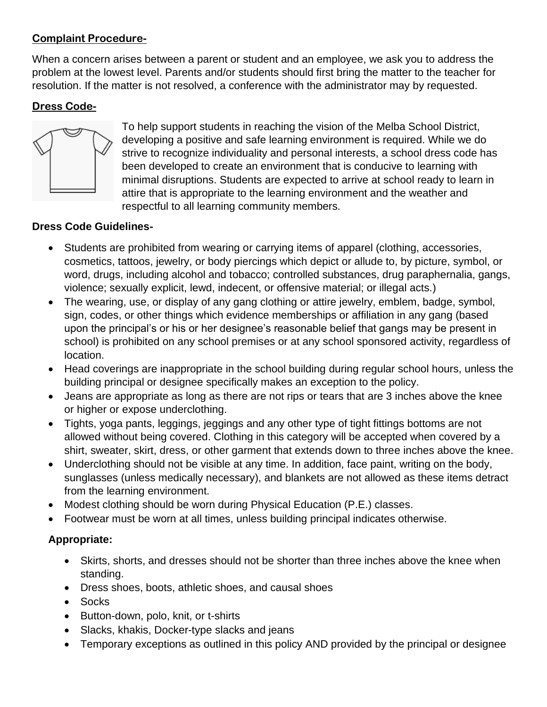#### **Complaint Procedure-**

When a concern arises between a parent or student and an employee, we ask you to address the problem at the lowest level. Parents and/or students should first bring the matter to the teacher for resolution. If the matter is not resolved, a conference with the administrator may by requested.

# **Dress Code-**



To help support students in reaching the vision of the Melba School District, developing a positive and safe learning environment is required. While we do strive to recognize individuality and personal interests, a school dress code has been developed to create an environment that is conducive to learning with minimal disruptions. Students are expected to arrive at school ready to learn in attire that is appropriate to the learning environment and the weather and respectful to all learning community members.

#### **Dress Code Guidelines-**

- Students are prohibited from wearing or carrying items of apparel (clothing, accessories, cosmetics, tattoos, jewelry, or body piercings which depict or allude to, by picture, symbol, or word, drugs, including alcohol and tobacco; controlled substances, drug paraphernalia, gangs, violence; sexually explicit, lewd, indecent, or offensive material; or illegal acts.)
- The wearing, use, or display of any gang clothing or attire jewelry, emblem, badge, symbol, sign, codes, or other things which evidence memberships or affiliation in any gang (based upon the principal's or his or her designee's reasonable belief that gangs may be present in school) is prohibited on any school premises or at any school sponsored activity, regardless of location.
- Head coverings are inappropriate in the school building during regular school hours, unless the building principal or designee specifically makes an exception to the policy.
- Jeans are appropriate as long as there are not rips or tears that are 3 inches above the knee or higher or expose underclothing.
- Tights, yoga pants, leggings, jeggings and any other type of tight fittings bottoms are not allowed without being covered. Clothing in this category will be accepted when covered by a shirt, sweater, skirt, dress, or other garment that extends down to three inches above the knee.
- Underclothing should not be visible at any time. In addition, face paint, writing on the body, sunglasses (unless medically necessary), and blankets are not allowed as these items detract from the learning environment.
- Modest clothing should be worn during Physical Education (P.E.) classes.
- Footwear must be worn at all times, unless building principal indicates otherwise.

# **Appropriate:**

- Skirts, shorts, and dresses should not be shorter than three inches above the knee when standing.
- Dress shoes, boots, athletic shoes, and causal shoes
- Socks
- Button-down, polo, knit, or t-shirts
- Slacks, khakis, Docker-type slacks and jeans
- Temporary exceptions as outlined in this policy AND provided by the principal or designee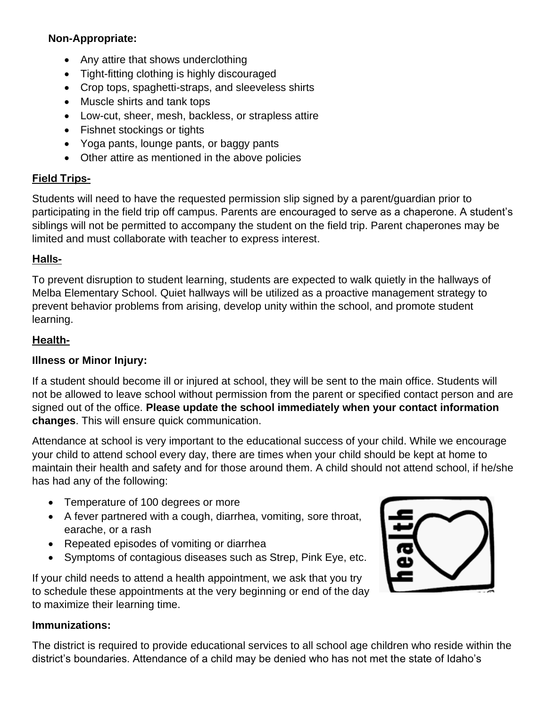#### **Non-Appropriate:**

- Any attire that shows underclothing
- Tight-fitting clothing is highly discouraged
- Crop tops, spaghetti-straps, and sleeveless shirts
- Muscle shirts and tank tops
- Low-cut, sheer, mesh, backless, or strapless attire
- Fishnet stockings or tights
- Yoga pants, lounge pants, or baggy pants
- Other attire as mentioned in the above policies

# **Field Trips-**

Students will need to have the requested permission slip signed by a parent/guardian prior to participating in the field trip off campus. Parents are encouraged to serve as a chaperone. A student's siblings will not be permitted to accompany the student on the field trip. Parent chaperones may be limited and must collaborate with teacher to express interest.

#### **Halls-**

To prevent disruption to student learning, students are expected to walk quietly in the hallways of Melba Elementary School. Quiet hallways will be utilized as a proactive management strategy to prevent behavior problems from arising, develop unity within the school, and promote student learning.

#### **Health-**

# **Illness or Minor Injury:**

If a student should become ill or injured at school, they will be sent to the main office. Students will not be allowed to leave school without permission from the parent or specified contact person and are signed out of the office. **Please update the school immediately when your contact information changes**. This will ensure quick communication.

Attendance at school is very important to the educational success of your child. While we encourage your child to attend school every day, there are times when your child should be kept at home to maintain their health and safety and for those around them. A child should not attend school, if he/she has had any of the following:

- Temperature of 100 degrees or more
- A fever partnered with a cough, diarrhea, vomiting, sore throat, earache, or a rash
- Repeated episodes of vomiting or diarrhea
- Symptoms of contagious diseases such as Strep, Pink Eye, etc.

If your child needs to attend a health appointment, we ask that you try to schedule these appointments at the very beginning or end of the day to maximize their learning time.



#### **Immunizations:**

The district is required to provide educational services to all school age children who reside within the district's boundaries. Attendance of a child may be denied who has not met the state of Idaho's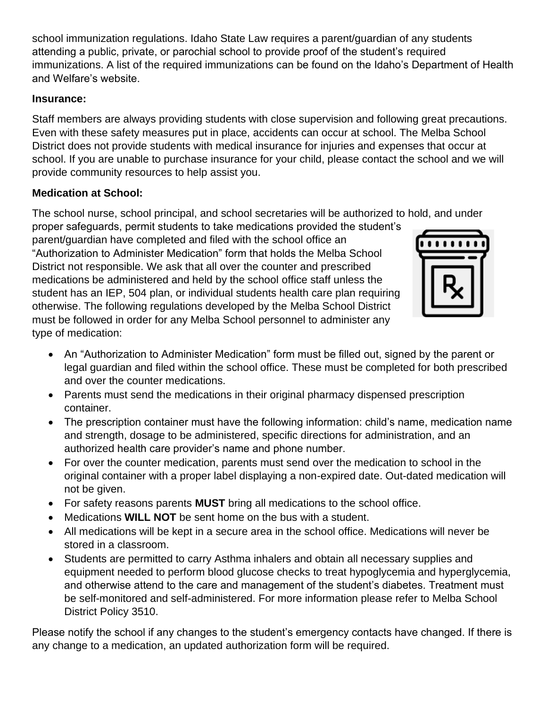school immunization regulations. Idaho State Law requires a parent/guardian of any students attending a public, private, or parochial school to provide proof of the student's required immunizations. A list of the required immunizations can be found on the Idaho's Department of Health and Welfare's website.

#### **Insurance:**

Staff members are always providing students with close supervision and following great precautions. Even with these safety measures put in place, accidents can occur at school. The Melba School District does not provide students with medical insurance for injuries and expenses that occur at school. If you are unable to purchase insurance for your child, please contact the school and we will provide community resources to help assist you.

# **Medication at School:**

The school nurse, school principal, and school secretaries will be authorized to hold, and under

proper safeguards, permit students to take medications provided the student's parent/guardian have completed and filed with the school office an "Authorization to Administer Medication" form that holds the Melba School District not responsible. We ask that all over the counter and prescribed medications be administered and held by the school office staff unless the student has an IEP, 504 plan, or individual students health care plan requiring otherwise. The following regulations developed by the Melba School District must be followed in order for any Melba School personnel to administer any type of medication:



- An "Authorization to Administer Medication" form must be filled out, signed by the parent or legal guardian and filed within the school office. These must be completed for both prescribed and over the counter medications.
- Parents must send the medications in their original pharmacy dispensed prescription container.
- The prescription container must have the following information: child's name, medication name and strength, dosage to be administered, specific directions for administration, and an authorized health care provider's name and phone number.
- For over the counter medication, parents must send over the medication to school in the original container with a proper label displaying a non-expired date. Out-dated medication will not be given.
- For safety reasons parents **MUST** bring all medications to the school office.
- Medications **WILL NOT** be sent home on the bus with a student.
- All medications will be kept in a secure area in the school office. Medications will never be stored in a classroom.
- Students are permitted to carry Asthma inhalers and obtain all necessary supplies and equipment needed to perform blood glucose checks to treat hypoglycemia and hyperglycemia, and otherwise attend to the care and management of the student's diabetes. Treatment must be self-monitored and self-administered. For more information please refer to Melba School District Policy 3510.

Please notify the school if any changes to the student's emergency contacts have changed. If there is any change to a medication, an updated authorization form will be required.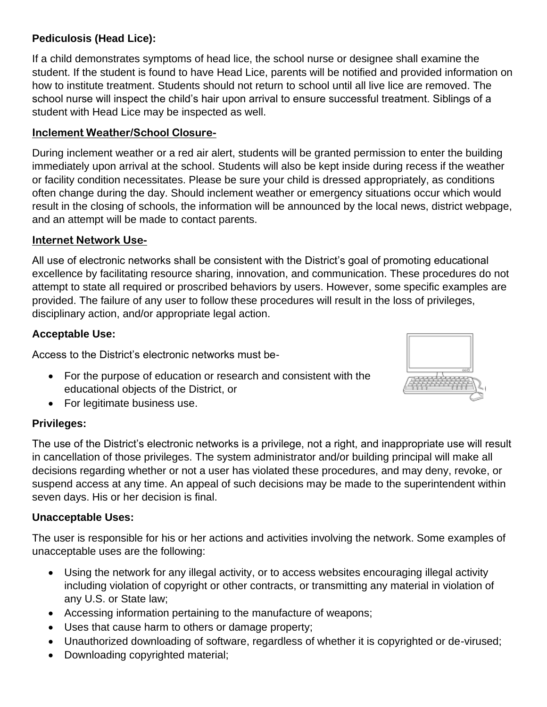# **Pediculosis (Head Lice):**

If a child demonstrates symptoms of head lice, the school nurse or designee shall examine the student. If the student is found to have Head Lice, parents will be notified and provided information on how to institute treatment. Students should not return to school until all live lice are removed. The school nurse will inspect the child's hair upon arrival to ensure successful treatment. Siblings of a student with Head Lice may be inspected as well.

#### **Inclement Weather/School Closure-**

During inclement weather or a red air alert, students will be granted permission to enter the building immediately upon arrival at the school. Students will also be kept inside during recess if the weather or facility condition necessitates. Please be sure your child is dressed appropriately, as conditions often change during the day. Should inclement weather or emergency situations occur which would result in the closing of schools, the information will be announced by the local news, district webpage, and an attempt will be made to contact parents.

#### **Internet Network Use-**

All use of electronic networks shall be consistent with the District's goal of promoting educational excellence by facilitating resource sharing, innovation, and communication. These procedures do not attempt to state all required or proscribed behaviors by users. However, some specific examples are provided. The failure of any user to follow these procedures will result in the loss of privileges, disciplinary action, and/or appropriate legal action.

#### **Acceptable Use:**

Access to the District's electronic networks must be-

- For the purpose of education or research and consistent with the educational objects of the District, or
- For legitimate business use.

#### **Privileges:**

The use of the District's electronic networks is a privilege, not a right, and inappropriate use will result in cancellation of those privileges. The system administrator and/or building principal will make all decisions regarding whether or not a user has violated these procedures, and may deny, revoke, or suspend access at any time. An appeal of such decisions may be made to the superintendent within seven days. His or her decision is final.

#### **Unacceptable Uses:**

The user is responsible for his or her actions and activities involving the network. Some examples of unacceptable uses are the following:

- Using the network for any illegal activity, or to access websites encouraging illegal activity including violation of copyright or other contracts, or transmitting any material in violation of any U.S. or State law;
- Accessing information pertaining to the manufacture of weapons;
- Uses that cause harm to others or damage property;
- Unauthorized downloading of software, regardless of whether it is copyrighted or de-virused;
- Downloading copyrighted material;

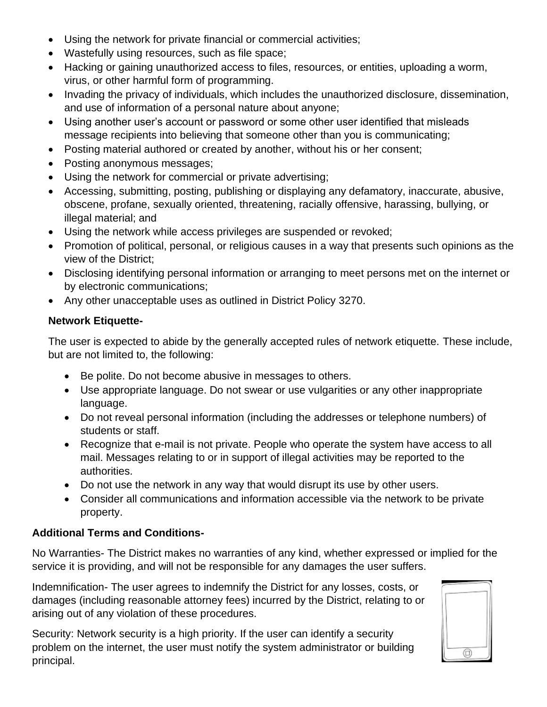- Using the network for private financial or commercial activities;
- Wastefully using resources, such as file space;
- Hacking or gaining unauthorized access to files, resources, or entities, uploading a worm, virus, or other harmful form of programming.
- Invading the privacy of individuals, which includes the unauthorized disclosure, dissemination, and use of information of a personal nature about anyone;
- Using another user's account or password or some other user identified that misleads message recipients into believing that someone other than you is communicating;
- Posting material authored or created by another, without his or her consent;
- Posting anonymous messages;
- Using the network for commercial or private advertising;
- Accessing, submitting, posting, publishing or displaying any defamatory, inaccurate, abusive, obscene, profane, sexually oriented, threatening, racially offensive, harassing, bullying, or illegal material; and
- Using the network while access privileges are suspended or revoked;
- Promotion of political, personal, or religious causes in a way that presents such opinions as the view of the District;
- Disclosing identifying personal information or arranging to meet persons met on the internet or by electronic communications;
- Any other unacceptable uses as outlined in District Policy 3270.

#### **Network Etiquette-**

The user is expected to abide by the generally accepted rules of network etiquette. These include, but are not limited to, the following:

- Be polite. Do not become abusive in messages to others.
- Use appropriate language. Do not swear or use vulgarities or any other inappropriate language.
- Do not reveal personal information (including the addresses or telephone numbers) of students or staff.
- Recognize that e-mail is not private. People who operate the system have access to all mail. Messages relating to or in support of illegal activities may be reported to the authorities.
- Do not use the network in any way that would disrupt its use by other users.
- Consider all communications and information accessible via the network to be private property.

#### **Additional Terms and Conditions-**

No Warranties- The District makes no warranties of any kind, whether expressed or implied for the service it is providing, and will not be responsible for any damages the user suffers.

Indemnification- The user agrees to indemnify the District for any losses, costs, or damages (including reasonable attorney fees) incurred by the District, relating to or arising out of any violation of these procedures.

Security: Network security is a high priority. If the user can identify a security problem on the internet, the user must notify the system administrator or building principal.

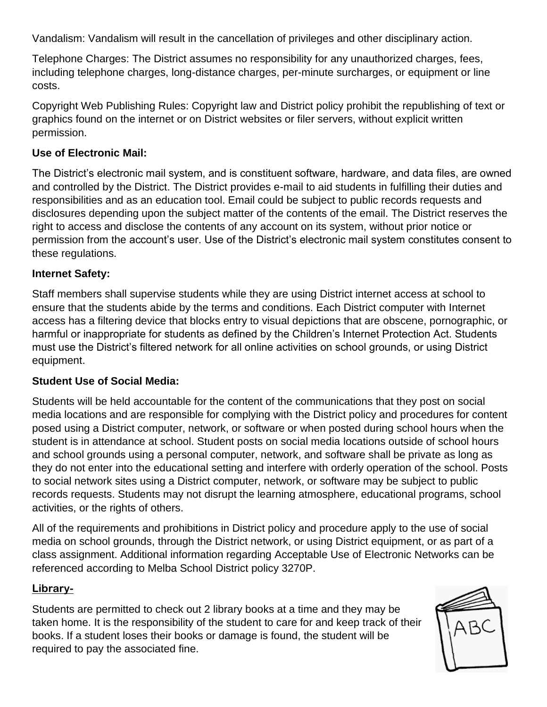Vandalism: Vandalism will result in the cancellation of privileges and other disciplinary action.

Telephone Charges: The District assumes no responsibility for any unauthorized charges, fees, including telephone charges, long-distance charges, per-minute surcharges, or equipment or line costs.

Copyright Web Publishing Rules: Copyright law and District policy prohibit the republishing of text or graphics found on the internet or on District websites or filer servers, without explicit written permission.

#### **Use of Electronic Mail:**

The District's electronic mail system, and is constituent software, hardware, and data files, are owned and controlled by the District. The District provides e-mail to aid students in fulfilling their duties and responsibilities and as an education tool. Email could be subject to public records requests and disclosures depending upon the subject matter of the contents of the email. The District reserves the right to access and disclose the contents of any account on its system, without prior notice or permission from the account's user. Use of the District's electronic mail system constitutes consent to these regulations.

#### **Internet Safety:**

Staff members shall supervise students while they are using District internet access at school to ensure that the students abide by the terms and conditions. Each District computer with Internet access has a filtering device that blocks entry to visual depictions that are obscene, pornographic, or harmful or inappropriate for students as defined by the Children's Internet Protection Act. Students must use the District's filtered network for all online activities on school grounds, or using District equipment.

#### **Student Use of Social Media:**

Students will be held accountable for the content of the communications that they post on social media locations and are responsible for complying with the District policy and procedures for content posed using a District computer, network, or software or when posted during school hours when the student is in attendance at school. Student posts on social media locations outside of school hours and school grounds using a personal computer, network, and software shall be private as long as they do not enter into the educational setting and interfere with orderly operation of the school. Posts to social network sites using a District computer, network, or software may be subject to public records requests. Students may not disrupt the learning atmosphere, educational programs, school activities, or the rights of others.

All of the requirements and prohibitions in District policy and procedure apply to the use of social media on school grounds, through the District network, or using District equipment, or as part of a class assignment. Additional information regarding Acceptable Use of Electronic Networks can be referenced according to Melba School District policy 3270P.

#### **Library-**

Students are permitted to check out 2 library books at a time and they may be taken home. It is the responsibility of the student to care for and keep track of their books. If a student loses their books or damage is found, the student will be required to pay the associated fine.

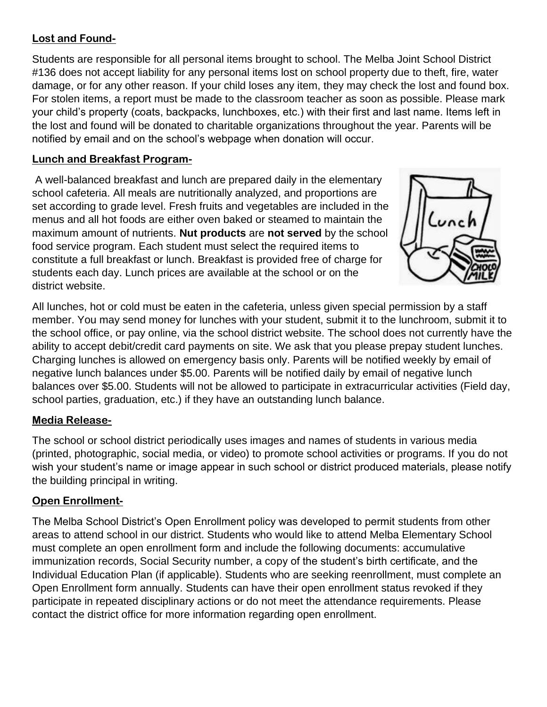# **Lost and Found-**

Students are responsible for all personal items brought to school. The Melba Joint School District #136 does not accept liability for any personal items lost on school property due to theft, fire, water damage, or for any other reason. If your child loses any item, they may check the lost and found box. For stolen items, a report must be made to the classroom teacher as soon as possible. Please mark your child's property (coats, backpacks, lunchboxes, etc.) with their first and last name. Items left in the lost and found will be donated to charitable organizations throughout the year. Parents will be notified by email and on the school's webpage when donation will occur.

# **Lunch and Breakfast Program-**

A well-balanced breakfast and lunch are prepared daily in the elementary school cafeteria. All meals are nutritionally analyzed, and proportions are set according to grade level. Fresh fruits and vegetables are included in the menus and all hot foods are either oven baked or steamed to maintain the maximum amount of nutrients. **Nut products** are **not served** by the school food service program. Each student must select the required items to constitute a full breakfast or lunch. Breakfast is provided free of charge for students each day. Lunch prices are available at the school or on the district website.



All lunches, hot or cold must be eaten in the cafeteria, unless given special permission by a staff member. You may send money for lunches with your student, submit it to the lunchroom, submit it to the school office, or pay online, via the school district website. The school does not currently have the ability to accept debit/credit card payments on site. We ask that you please prepay student lunches. Charging lunches is allowed on emergency basis only. Parents will be notified weekly by email of negative lunch balances under \$5.00. Parents will be notified daily by email of negative lunch balances over \$5.00. Students will not be allowed to participate in extracurricular activities (Field day, school parties, graduation, etc.) if they have an outstanding lunch balance.

# **Media Release-**

The school or school district periodically uses images and names of students in various media (printed, photographic, social media, or video) to promote school activities or programs. If you do not wish your student's name or image appear in such school or district produced materials, please notify the building principal in writing.

# **Open Enrollment-**

The Melba School District's Open Enrollment policy was developed to permit students from other areas to attend school in our district. Students who would like to attend Melba Elementary School must complete an open enrollment form and include the following documents: accumulative immunization records, Social Security number, a copy of the student's birth certificate, and the Individual Education Plan (if applicable). Students who are seeking reenrollment, must complete an Open Enrollment form annually. Students can have their open enrollment status revoked if they participate in repeated disciplinary actions or do not meet the attendance requirements. Please contact the district office for more information regarding open enrollment.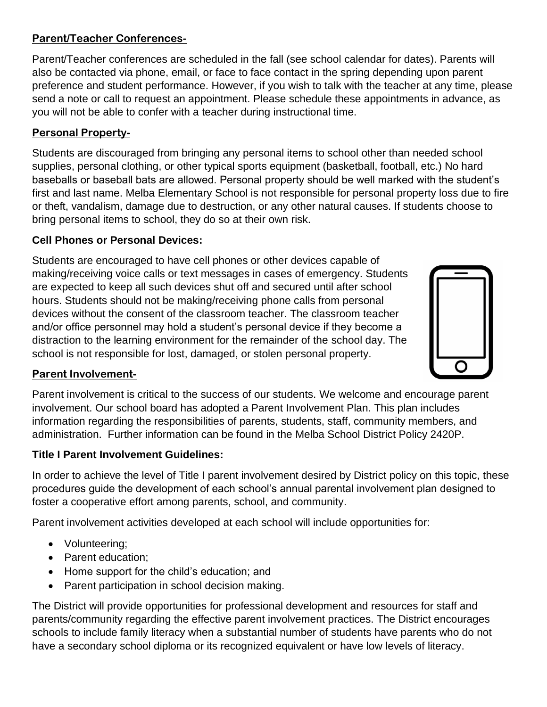# **Parent/Teacher Conferences-**

Parent/Teacher conferences are scheduled in the fall (see school calendar for dates). Parents will also be contacted via phone, email, or face to face contact in the spring depending upon parent preference and student performance. However, if you wish to talk with the teacher at any time, please send a note or call to request an appointment. Please schedule these appointments in advance, as you will not be able to confer with a teacher during instructional time.

# **Personal Property-**

Students are discouraged from bringing any personal items to school other than needed school supplies, personal clothing, or other typical sports equipment (basketball, football, etc.) No hard baseballs or baseball bats are allowed. Personal property should be well marked with the student's first and last name. Melba Elementary School is not responsible for personal property loss due to fire or theft, vandalism, damage due to destruction, or any other natural causes. If students choose to bring personal items to school, they do so at their own risk.

#### **Cell Phones or Personal Devices:**

Students are encouraged to have cell phones or other devices capable of making/receiving voice calls or text messages in cases of emergency. Students are expected to keep all such devices shut off and secured until after school hours. Students should not be making/receiving phone calls from personal devices without the consent of the classroom teacher. The classroom teacher and/or office personnel may hold a student's personal device if they become a distraction to the learning environment for the remainder of the school day. The school is not responsible for lost, damaged, or stolen personal property.



#### **Parent Involvement-**

Parent involvement is critical to the success of our students. We welcome and encourage parent involvement. Our school board has adopted a Parent Involvement Plan. This plan includes information regarding the responsibilities of parents, students, staff, community members, and administration. Further information can be found in the Melba School District Policy 2420P.

#### **Title I Parent Involvement Guidelines:**

In order to achieve the level of Title I parent involvement desired by District policy on this topic, these procedures guide the development of each school's annual parental involvement plan designed to foster a cooperative effort among parents, school, and community.

Parent involvement activities developed at each school will include opportunities for:

- Volunteering;
- Parent education:
- Home support for the child's education; and
- Parent participation in school decision making.

The District will provide opportunities for professional development and resources for staff and parents/community regarding the effective parent involvement practices. The District encourages schools to include family literacy when a substantial number of students have parents who do not have a secondary school diploma or its recognized equivalent or have low levels of literacy.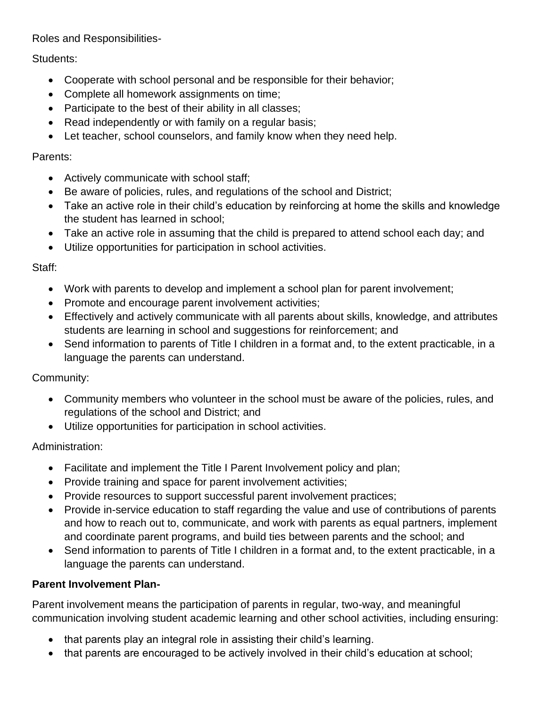Roles and Responsibilities-

Students:

- Cooperate with school personal and be responsible for their behavior;
- Complete all homework assignments on time;
- Participate to the best of their ability in all classes;
- Read independently or with family on a regular basis;
- Let teacher, school counselors, and family know when they need help.

# Parents:

- Actively communicate with school staff;
- Be aware of policies, rules, and regulations of the school and District;
- Take an active role in their child's education by reinforcing at home the skills and knowledge the student has learned in school;
- Take an active role in assuming that the child is prepared to attend school each day; and
- Utilize opportunities for participation in school activities.

# Staff:

- Work with parents to develop and implement a school plan for parent involvement;
- Promote and encourage parent involvement activities;
- Effectively and actively communicate with all parents about skills, knowledge, and attributes students are learning in school and suggestions for reinforcement; and
- Send information to parents of Title I children in a format and, to the extent practicable, in a language the parents can understand.

# Community:

- Community members who volunteer in the school must be aware of the policies, rules, and regulations of the school and District; and
- Utilize opportunities for participation in school activities.

# Administration:

- Facilitate and implement the Title I Parent Involvement policy and plan;
- Provide training and space for parent involvement activities;
- Provide resources to support successful parent involvement practices;
- Provide in-service education to staff regarding the value and use of contributions of parents and how to reach out to, communicate, and work with parents as equal partners, implement and coordinate parent programs, and build ties between parents and the school; and
- Send information to parents of Title I children in a format and, to the extent practicable, in a language the parents can understand.

# **Parent Involvement Plan-**

Parent involvement means the participation of parents in regular, two-way, and meaningful communication involving student academic learning and other school activities, including ensuring:

- that parents play an integral role in assisting their child's learning.
- that parents are encouraged to be actively involved in their child's education at school;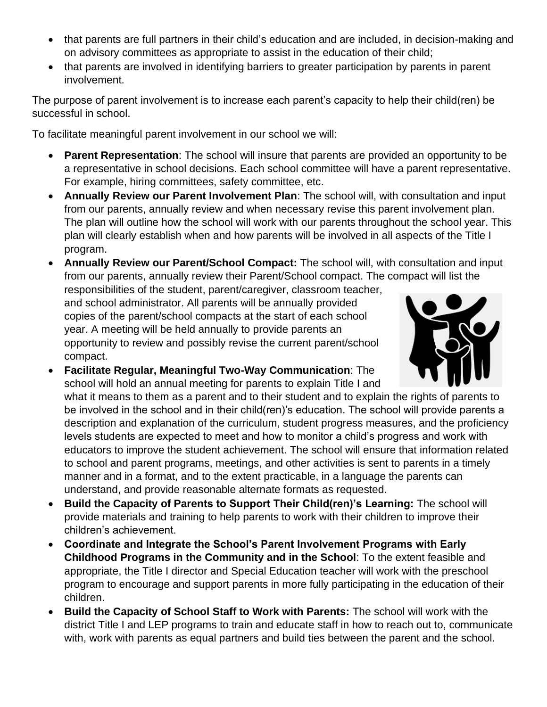- that parents are full partners in their child's education and are included, in decision-making and on advisory committees as appropriate to assist in the education of their child;
- that parents are involved in identifying barriers to greater participation by parents in parent involvement.

The purpose of parent involvement is to increase each parent's capacity to help their child(ren) be successful in school.

To facilitate meaningful parent involvement in our school we will:

- **Parent Representation**: The school will insure that parents are provided an opportunity to be a representative in school decisions. Each school committee will have a parent representative. For example, hiring committees, safety committee, etc.
- **Annually Review our Parent Involvement Plan**: The school will, with consultation and input from our parents, annually review and when necessary revise this parent involvement plan. The plan will outline how the school will work with our parents throughout the school year. This plan will clearly establish when and how parents will be involved in all aspects of the Title I program.
- **Annually Review our Parent/School Compact:** The school will, with consultation and input from our parents, annually review their Parent/School compact. The compact will list the

responsibilities of the student, parent/caregiver, classroom teacher, and school administrator. All parents will be annually provided copies of the parent/school compacts at the start of each school year. A meeting will be held annually to provide parents an opportunity to review and possibly revise the current parent/school compact.



- **Facilitate Regular, Meaningful Two-Way Communication**: The school will hold an annual meeting for parents to explain Title I and what it means to them as a parent and to their student and to explain the rights of parents to be involved in the school and in their child(ren)'s education. The school will provide parents a description and explanation of the curriculum, student progress measures, and the proficiency levels students are expected to meet and how to monitor a child's progress and work with educators to improve the student achievement. The school will ensure that information related to school and parent programs, meetings, and other activities is sent to parents in a timely manner and in a format, and to the extent practicable, in a language the parents can understand, and provide reasonable alternate formats as requested.
- **Build the Capacity of Parents to Support Their Child(ren)'s Learning:** The school will provide materials and training to help parents to work with their children to improve their children's achievement.
- **Coordinate and Integrate the School's Parent Involvement Programs with Early Childhood Programs in the Community and in the School**: To the extent feasible and appropriate, the Title I director and Special Education teacher will work with the preschool program to encourage and support parents in more fully participating in the education of their children.
- **Build the Capacity of School Staff to Work with Parents:** The school will work with the district Title I and LEP programs to train and educate staff in how to reach out to, communicate with, work with parents as equal partners and build ties between the parent and the school.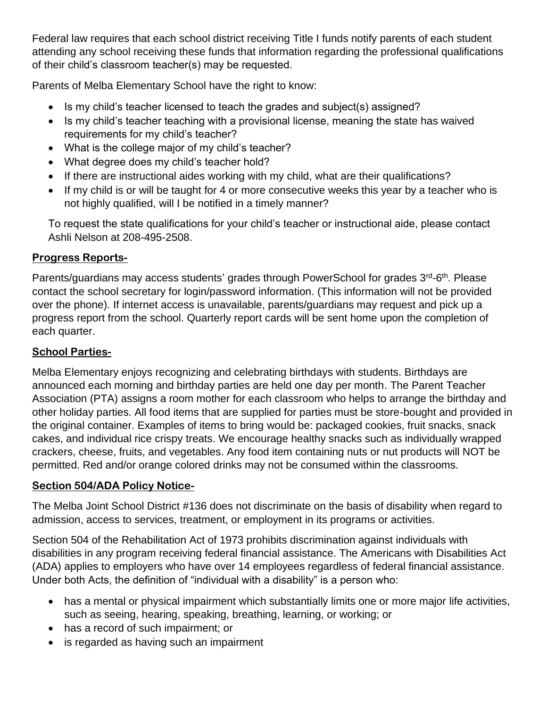Federal law requires that each school district receiving Title I funds notify parents of each student attending any school receiving these funds that information regarding the professional qualifications of their child's classroom teacher(s) may be requested.

Parents of Melba Elementary School have the right to know:

- Is my child's teacher licensed to teach the grades and subject(s) assigned?
- Is my child's teacher teaching with a provisional license, meaning the state has waived requirements for my child's teacher?
- What is the college major of my child's teacher?
- What degree does my child's teacher hold?
- If there are instructional aides working with my child, what are their qualifications?
- If my child is or will be taught for 4 or more consecutive weeks this year by a teacher who is not highly qualified, will I be notified in a timely manner?

To request the state qualifications for your child's teacher or instructional aide, please contact Ashli Nelson at 208-495-2508.

# **Progress Reports-**

Parents/guardians may access students' grades through PowerSchool for grades 3<sup>rd</sup>-6<sup>th</sup>. Please contact the school secretary for login/password information. (This information will not be provided over the phone). If internet access is unavailable, parents/guardians may request and pick up a progress report from the school. Quarterly report cards will be sent home upon the completion of each quarter.

# **School Parties-**

Melba Elementary enjoys recognizing and celebrating birthdays with students. Birthdays are announced each morning and birthday parties are held one day per month. The Parent Teacher Association (PTA) assigns a room mother for each classroom who helps to arrange the birthday and other holiday parties. All food items that are supplied for parties must be store-bought and provided in the original container. Examples of items to bring would be: packaged cookies, fruit snacks, snack cakes, and individual rice crispy treats. We encourage healthy snacks such as individually wrapped crackers, cheese, fruits, and vegetables. Any food item containing nuts or nut products will NOT be permitted. Red and/or orange colored drinks may not be consumed within the classrooms.

# **Section 504/ADA Policy Notice-**

The Melba Joint School District #136 does not discriminate on the basis of disability when regard to admission, access to services, treatment, or employment in its programs or activities.

Section 504 of the Rehabilitation Act of 1973 prohibits discrimination against individuals with disabilities in any program receiving federal financial assistance. The Americans with Disabilities Act (ADA) applies to employers who have over 14 employees regardless of federal financial assistance. Under both Acts, the definition of "individual with a disability" is a person who:

- has a mental or physical impairment which substantially limits one or more major life activities, such as seeing, hearing, speaking, breathing, learning, or working; or
- has a record of such impairment; or
- is regarded as having such an impairment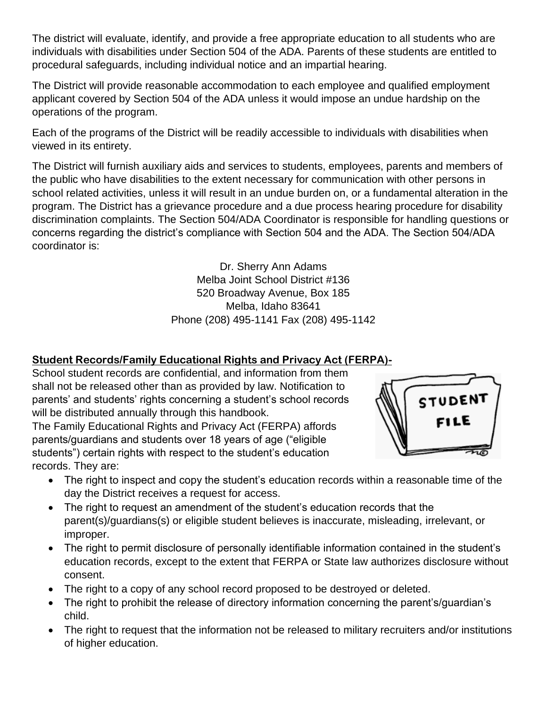The district will evaluate, identify, and provide a free appropriate education to all students who are individuals with disabilities under Section 504 of the ADA. Parents of these students are entitled to procedural safeguards, including individual notice and an impartial hearing.

The District will provide reasonable accommodation to each employee and qualified employment applicant covered by Section 504 of the ADA unless it would impose an undue hardship on the operations of the program.

Each of the programs of the District will be readily accessible to individuals with disabilities when viewed in its entirety.

The District will furnish auxiliary aids and services to students, employees, parents and members of the public who have disabilities to the extent necessary for communication with other persons in school related activities, unless it will result in an undue burden on, or a fundamental alteration in the program. The District has a grievance procedure and a due process hearing procedure for disability discrimination complaints. The Section 504/ADA Coordinator is responsible for handling questions or concerns regarding the district's compliance with Section 504 and the ADA. The Section 504/ADA coordinator is:

> Dr. Sherry Ann Adams Melba Joint School District #136 520 Broadway Avenue, Box 185 Melba, Idaho 83641 Phone (208) 495-1141 Fax (208) 495-1142

# **Student Records/Family Educational Rights and Privacy Act (FERPA)-**

School student records are confidential, and information from them shall not be released other than as provided by law. Notification to parents' and students' rights concerning a student's school records will be distributed annually through this handbook.

The Family Educational Rights and Privacy Act (FERPA) affords parents/guardians and students over 18 years of age ("eligible students") certain rights with respect to the student's education records. They are:



- The right to inspect and copy the student's education records within a reasonable time of the day the District receives a request for access.
- The right to request an amendment of the student's education records that the parent(s)/guardians(s) or eligible student believes is inaccurate, misleading, irrelevant, or improper.
- The right to permit disclosure of personally identifiable information contained in the student's education records, except to the extent that FERPA or State law authorizes disclosure without consent.
- The right to a copy of any school record proposed to be destroyed or deleted.
- The right to prohibit the release of directory information concerning the parent's/guardian's child.
- The right to request that the information not be released to military recruiters and/or institutions of higher education.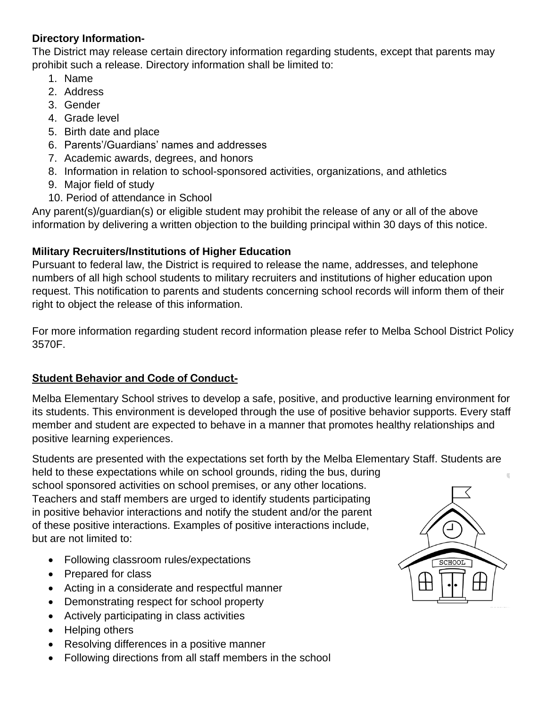#### **Directory Information-**

The District may release certain directory information regarding students, except that parents may prohibit such a release. Directory information shall be limited to:

- 1. Name
- 2. Address
- 3. Gender
- 4. Grade level
- 5. Birth date and place
- 6. Parents'/Guardians' names and addresses
- 7. Academic awards, degrees, and honors
- 8. Information in relation to school-sponsored activities, organizations, and athletics
- 9. Major field of study
- 10. Period of attendance in School

Any parent(s)/guardian(s) or eligible student may prohibit the release of any or all of the above information by delivering a written objection to the building principal within 30 days of this notice.

#### **Military Recruiters/Institutions of Higher Education**

Pursuant to federal law, the District is required to release the name, addresses, and telephone numbers of all high school students to military recruiters and institutions of higher education upon request. This notification to parents and students concerning school records will inform them of their right to object the release of this information.

For more information regarding student record information please refer to Melba School District Policy 3570F.

# **Student Behavior and Code of Conduct-**

Melba Elementary School strives to develop a safe, positive, and productive learning environment for its students. This environment is developed through the use of positive behavior supports. Every staff member and student are expected to behave in a manner that promotes healthy relationships and positive learning experiences.

Students are presented with the expectations set forth by the Melba Elementary Staff. Students are held to these expectations while on school grounds, riding the bus, during school sponsored activities on school premises, or any other locations. Teachers and staff members are urged to identify students participating in positive behavior interactions and notify the student and/or the parent of these positive interactions. Examples of positive interactions include, but are not limited to:

- Following classroom rules/expectations
- Prepared for class
- Acting in a considerate and respectful manner
- Demonstrating respect for school property
- Actively participating in class activities
- Helping others
- Resolving differences in a positive manner
- Following directions from all staff members in the school

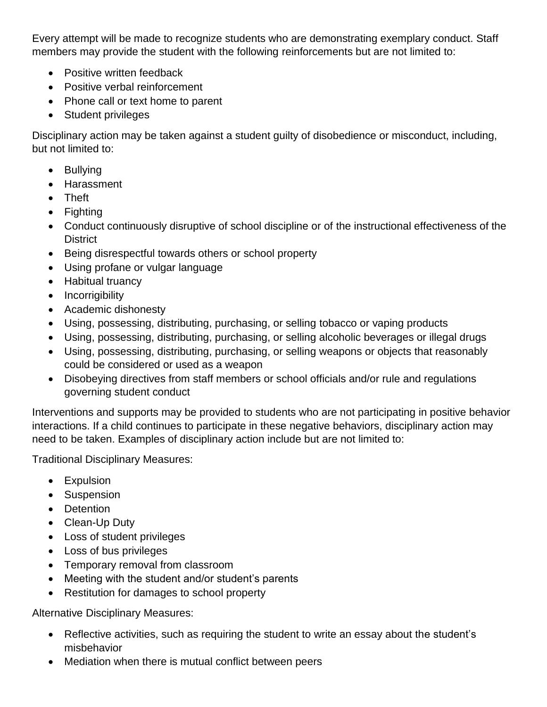Every attempt will be made to recognize students who are demonstrating exemplary conduct. Staff members may provide the student with the following reinforcements but are not limited to:

- Positive written feedback
- Positive verbal reinforcement
- Phone call or text home to parent
- Student privileges

Disciplinary action may be taken against a student guilty of disobedience or misconduct, including, but not limited to:

- Bullying
- Harassment
- Theft
- Fighting
- Conduct continuously disruptive of school discipline or of the instructional effectiveness of the **District**
- Being disrespectful towards others or school property
- Using profane or vulgar language
- Habitual truancy
- Incorrigibility
- Academic dishonesty
- Using, possessing, distributing, purchasing, or selling tobacco or vaping products
- Using, possessing, distributing, purchasing, or selling alcoholic beverages or illegal drugs
- Using, possessing, distributing, purchasing, or selling weapons or objects that reasonably could be considered or used as a weapon
- Disobeying directives from staff members or school officials and/or rule and regulations governing student conduct

Interventions and supports may be provided to students who are not participating in positive behavior interactions. If a child continues to participate in these negative behaviors, disciplinary action may need to be taken. Examples of disciplinary action include but are not limited to:

Traditional Disciplinary Measures:

- Expulsion
- Suspension
- Detention
- Clean-Up Duty
- Loss of student privileges
- Loss of bus privileges
- Temporary removal from classroom
- Meeting with the student and/or student's parents
- Restitution for damages to school property

Alternative Disciplinary Measures:

- Reflective activities, such as requiring the student to write an essay about the student's misbehavior
- Mediation when there is mutual conflict between peers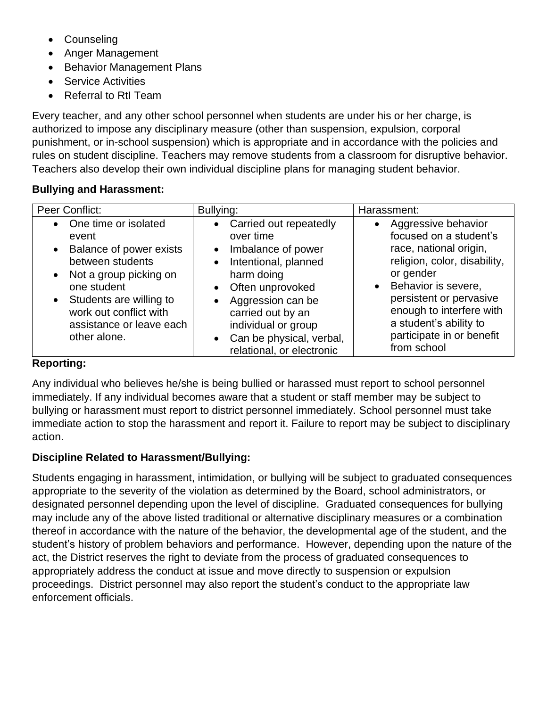- **Counseling**
- Anger Management
- Behavior Management Plans
- Service Activities
- Referral to RtI Team

Every teacher, and any other school personnel when students are under his or her charge, is authorized to impose any disciplinary measure (other than suspension, expulsion, corporal punishment, or in-school suspension) which is appropriate and in accordance with the policies and rules on student discipline. Teachers may remove students from a classroom for disruptive behavior. Teachers also develop their own individual discipline plans for managing student behavior.

# **Bullying and Harassment:**

| Peer Conflict:                                                                                                                                                                                                                 | Bullying:                                                                                                                                                                                                                                                                                                                   | Harassment:                                                                                                                                                                                                                                                                             |
|--------------------------------------------------------------------------------------------------------------------------------------------------------------------------------------------------------------------------------|-----------------------------------------------------------------------------------------------------------------------------------------------------------------------------------------------------------------------------------------------------------------------------------------------------------------------------|-----------------------------------------------------------------------------------------------------------------------------------------------------------------------------------------------------------------------------------------------------------------------------------------|
| • One time or isolated<br>event<br>• Balance of power exists<br>between students<br>• Not a group picking on<br>one student<br>• Students are willing to<br>work out conflict with<br>assistance or leave each<br>other alone. | Carried out repeatedly<br>$\bullet$<br>over time<br>Imbalance of power<br>$\bullet$<br>Intentional, planned<br>$\bullet$<br>harm doing<br>Often unprovoked<br>$\bullet$<br>Aggression can be<br>$\bullet$<br>carried out by an<br>individual or group<br>Can be physical, verbal,<br>$\bullet$<br>relational, or electronic | Aggressive behavior<br>$\bullet$<br>focused on a student's<br>race, national origin,<br>religion, color, disability,<br>or gender<br>• Behavior is severe,<br>persistent or pervasive<br>enough to interfere with<br>a student's ability to<br>participate in or benefit<br>from school |

# **Reporting:**

Any individual who believes he/she is being bullied or harassed must report to school personnel immediately. If any individual becomes aware that a student or staff member may be subject to bullying or harassment must report to district personnel immediately. School personnel must take immediate action to stop the harassment and report it. Failure to report may be subject to disciplinary action.

# **Discipline Related to Harassment/Bullying:**

Students engaging in harassment, intimidation, or bullying will be subject to graduated consequences appropriate to the severity of the violation as determined by the Board, school administrators, or designated personnel depending upon the level of discipline. Graduated consequences for bullying may include any of the above listed traditional or alternative disciplinary measures or a combination thereof in accordance with the nature of the behavior, the developmental age of the student, and the student's history of problem behaviors and performance. However, depending upon the nature of the act, the District reserves the right to deviate from the process of graduated consequences to appropriately address the conduct at issue and move directly to suspension or expulsion proceedings. District personnel may also report the student's conduct to the appropriate law enforcement officials.